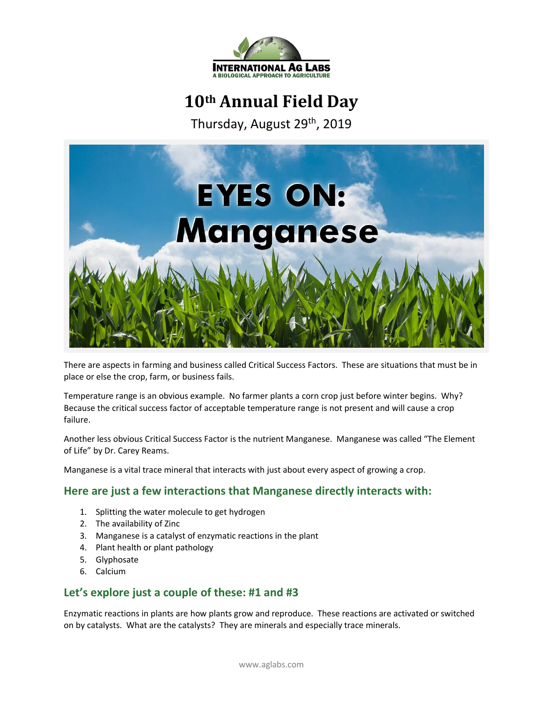

# **10th Annual Field Day**

Thursday, August 29<sup>th</sup>, 2019



There are aspects in farming and business called Critical Success Factors. These are situations that must be in place or else the crop, farm, or business fails.

Temperature range is an obvious example. No farmer plants a corn crop just before winter begins. Why? Because the critical success factor of acceptable temperature range is not present and will cause a crop failure.

Another less obvious Critical Success Factor is the nutrient Manganese. Manganese was called "The Element of Life" by Dr. Carey Reams.

Manganese is a vital trace mineral that interacts with just about every aspect of growing a crop.

## **Here are just a few interactions that Manganese directly interacts with:**

- 1. Splitting the water molecule to get hydrogen
- 2. The availability of Zinc
- 3. Manganese is a catalyst of enzymatic reactions in the plant
- 4. Plant health or plant pathology
- 5. Glyphosate
- 6. Calcium

## **Let's explore just a couple of these: #1 and #3**

Enzymatic reactions in plants are how plants grow and reproduce. These reactions are activated or switched on by catalysts. What are the catalysts? They are minerals and especially trace minerals.